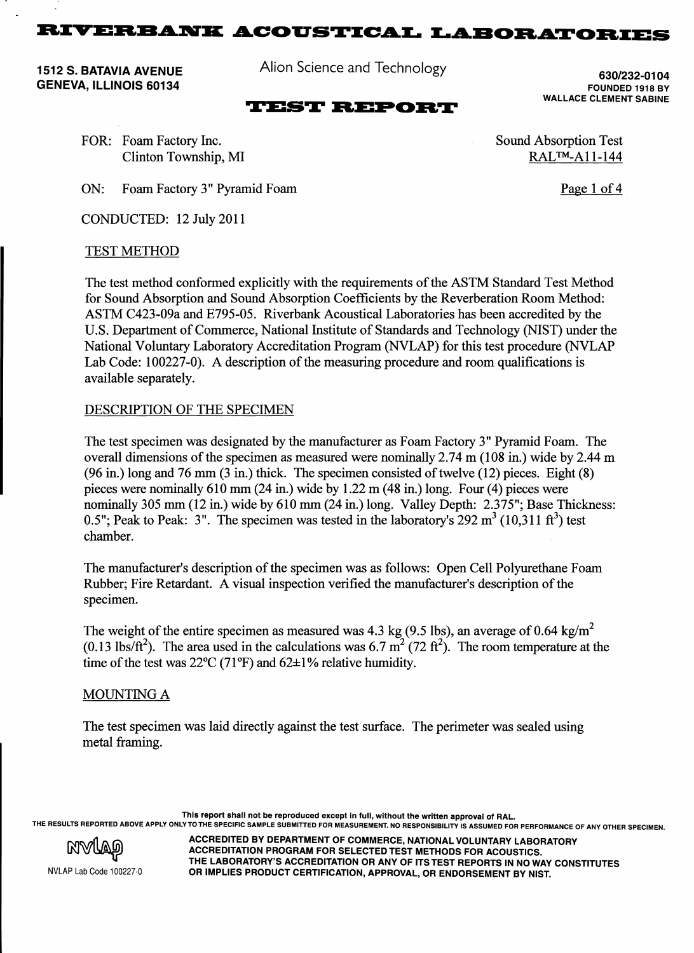# ${\bf VERBANK\ ACOUSTICAL \ LABORATORIES}$

1512 S. BATAVIA AVENUE GENEVA, ILLINOIS 60134

Alion Science and Technology

### **TEST REPORT**

630/232-01 04 FOUNDED 1918 BY WALLACE CLEMENT SABINE

Page 1 of 4

Sound Absorption Test RAL™-A11-144

FOR: Foam Factory Inc. Clinton Township, MI

ON: Foam Factory 3" Pyramid Foam

CONDUCTED: 12 July 2011

#### TEST METHOD

The test method conformed explicitly with the requirements of the ASTM Standard Test Method for Sound Absorption and Sound Absorption Coefficients by the Reverberation Room Method: ASTM C423-09a and E795-05. Riverbank Acoustical Laboratories has been accredited by the U.S. Department of Commerce, National Institute of Standards and Technology (NIST) under the National Voluntary Laboratory Accreditation Program (NVLAP) for this test procedure (NVLAP Lab Code: 100227-0). A description of the measuring procedure and room qualifications is available separately.

#### DESCRIPTION OF THE SPECIMEN

The test specimen was designated by the manufacturer as Foam Factory 3" Pyramid Foam. The overall dimensions of the specimen as measured were nominally 2.74 m (108 in.) wide by 2.44 m (96 in.) long and 76 mm (3 in.) thick. The specimen consisted of twelve (12) pieces. Eight (8) pieces were nominally 610 mm (24 in.) wide by 1.22 m (48 in.) long. Four (4) pieces were nominally 305 mm (12 in.) wide by 610 mm (24 in.) long. Valley Depth: 2.375"; Base Thickness: 0.5"; Peak to Peak: 3". The specimen was tested in the laboratory's 292  $m^3$  (10,311  $ft^3$ ) test chamber.

The manufacturer's description of the specimen was as follows: Open Cell Polyurethane Foam Rubber; Fire Retardant. A visual inspection verified the manufacturer's description of the specimen.

The weight of the entire specimen as measured was 4.3 kg (9.5 lbs), an average of 0.64 kg/m<sup>2</sup> (0.13 lbs/ft<sup>2</sup>). The area used in the calculations was 6.7 m<sup>2</sup> (72 ft<sup>2</sup>). The room temperature at the time of the test was  $22^{\circ}C$  (71°F) and  $62\pm1\%$  relative humidity.

#### MOUNTING A

The test specimen was laid directly against the test surface. The perimeter was sealed using metal framing.

This report shall not be reproduced except in full, without the written approval of RAL. THE RESULTS REPORTED ABOVE APPLY ONLY TO THE SPECIFIC SAMPLE SUBMITTED FOR MEASUREMENT. NO RESPONSIBILITY IS ASSUMED FOR PERFORMANCE OF ANY OTHER SPECIMEN.



NVLAP Lab Code 100227-0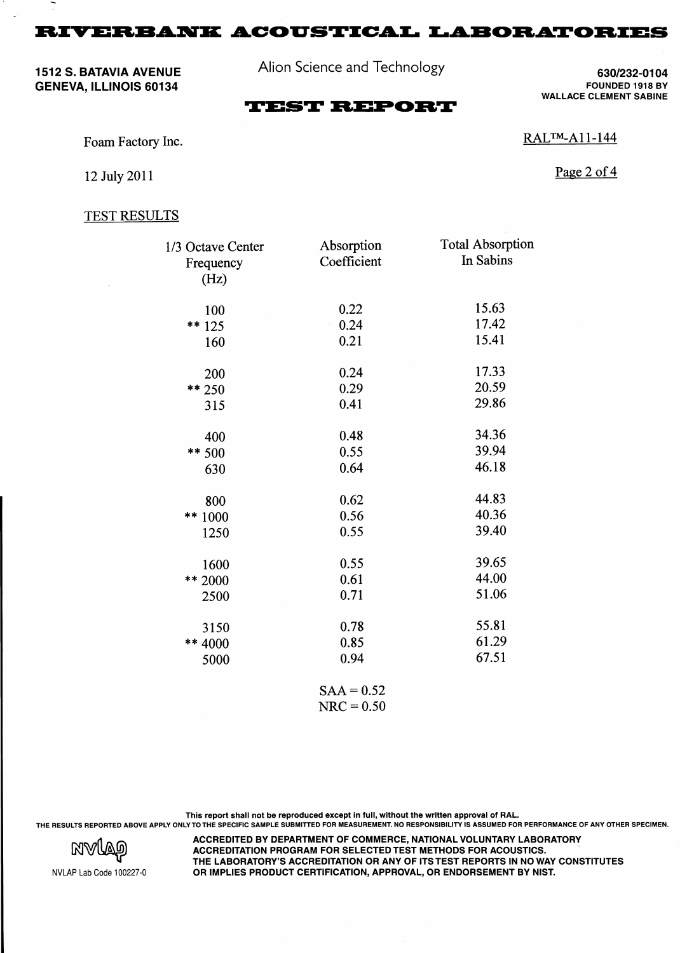**RIVERBANK ACOUSTICAL LABORATORIES**

1512 S. BATAVIA AVENUE GENEVA, ILLINOIS 60134

Alion Science and Technology

630/232-01 04 FOUNDED 1918 BY WALLACE CLEMENT SABINE

## **TEST REPORT**

Foam Factory Inc.

12 July 2011

Page 2 of 4

RAL™-A11-144

#### TEST RESULTS

| 1/3 Octave Center | Absorption   | <b>Total Absorption</b> |
|-------------------|--------------|-------------------------|
| Frequency         | Coefficient  | In Sabins               |
| (Hz)              |              |                         |
| 100               | 0.22         | 15.63                   |
| ** $125$          | 0.24         | 17.42                   |
| 160               | 0.21         | 15.41                   |
| 200               | 0.24         | 17.33                   |
| ** 250            | 0.29         | 20.59                   |
| 315               | 0.41         | 29.86                   |
| 400               | 0.48         | 34.36                   |
| ** 500            | 0.55         | 39.94                   |
| 630               | 0.64         | 46.18                   |
| 800               | 0.62         | 44.83                   |
| ** 1000           | 0.56         | 40.36                   |
| 1250              | 0.55         | 39.40                   |
| 1600              | 0.55         | 39.65                   |
| ** 2000           | 0.61         | 44.00                   |
| 2500              | 0.71         | 51.06                   |
| 3150              | 0.78         | 55.81                   |
| ** 4000           | 0.85         | 61.29                   |
| 5000              | 0.94         | 67.51                   |
|                   | $SAA = 0.52$ |                         |

 $NRC = 0.50$ 

This report shall not be reproduced except in full, without the written approval of RAL. THE RESULTS REPORTED ABOVE APPLY ONLY TO THE SPECIFIC SAMPLE SUBMITTED FOR MEASUREMENT. NO RESPONSIBILITY IS ASSUMED FOR PERFORMANCE OF ANY OTHER SPECIMEN.

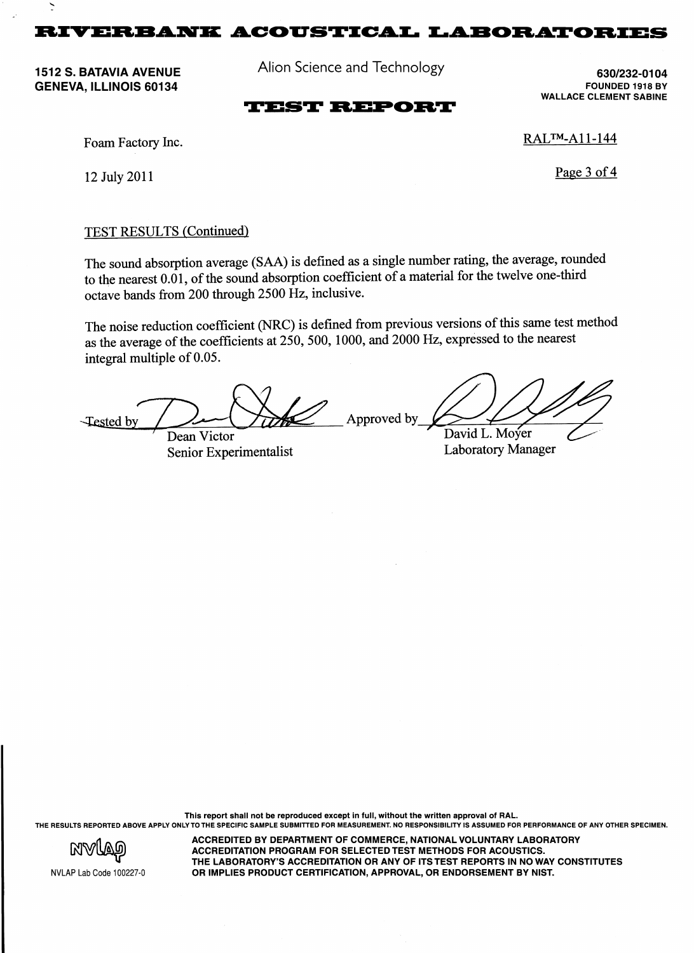**RIVERBANK ACOUSTICAL LABORATORIES**

1512 S. BATAVIA AVENUE GENEVA, ILLINOIS 60134

Alion Science and Technology

630/232-01 04 FOUNDED 1918 BY WALLACE CLEMENT SABINE

## **TEST REPORT**

Foam Factory Inc.

12 July 2011

RAL™-A11-144

Page 3 of 4

### TEST RESULTS (Continued)

The sound absorption average (SAA) is defined as a single number rating, the average, rounded to the nearest  $0.01$ , of the sound absorption coefficient of a material for the twelve one-third octave bands from 200 through 2500 Hz, inclusive.

The noise reduction coefficient (NRC) is defined from previous versions of this same test method as the average of the coefficients at  $250$ , 500, 1000, and 2000 Hz, expressed to the nearest integral multiple of 0.05.

Approved by **Tested** by David L. Mover Dean Victor Senior Experimentalist Laboratory Manager

This report shall not be reproduced except in full, without the written approval of RAL. THE RESULTS REPORTED ABOVE APPLY ONLY TO THE SPECIFIC SAMPLE SUBMITTED FOR MEASUREMENT. NO RESPONSIBILITY IS ASSUMED FOR PERFORMANCE OF ANY OTHER SPECIMEN.



NVLAP Lab Code 100227·0